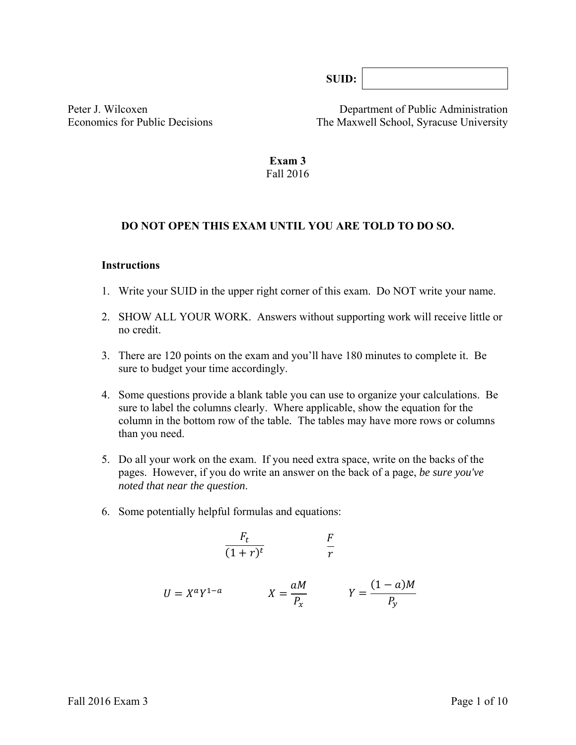**SUID:** 

Peter J. Wilcoxen Department of Public Administration Economics for Public Decisions The Maxwell School, Syracuse University

#### **Exam 3**  Fall 2016

#### **DO NOT OPEN THIS EXAM UNTIL YOU ARE TOLD TO DO SO.**

#### **Instructions**

- 1. Write your SUID in the upper right corner of this exam. Do NOT write your name.
- 2. SHOW ALL YOUR WORK. Answers without supporting work will receive little or no credit.
- 3. There are 120 points on the exam and you'll have 180 minutes to complete it. Be sure to budget your time accordingly.
- 4. Some questions provide a blank table you can use to organize your calculations. Be sure to label the columns clearly. Where applicable, show the equation for the column in the bottom row of the table*.* The tables may have more rows or columns than you need.
- 5. Do all your work on the exam. If you need extra space, write on the backs of the pages. However, if you do write an answer on the back of a page, *be sure you've noted that near the question*.
- 6. Some potentially helpful formulas and equations:

$$
\frac{F_t}{(1+r)^t} \qquad \qquad \frac{F}{r}
$$

$$
U = X^a Y^{1-a} \qquad \qquad X = \frac{aM}{P_x} \qquad \qquad Y = \frac{(1-a)M}{P_y}
$$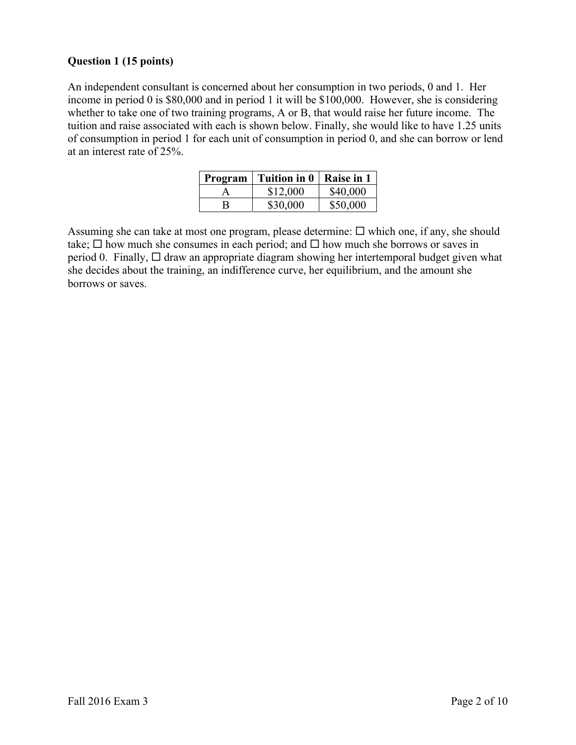## **Question 1 (15 points)**

An independent consultant is concerned about her consumption in two periods, 0 and 1. Her income in period 0 is \$80,000 and in period 1 it will be \$100,000. However, she is considering whether to take one of two training programs, A or B, that would raise her future income. The tuition and raise associated with each is shown below. Finally, she would like to have 1.25 units of consumption in period 1 for each unit of consumption in period 0, and she can borrow or lend at an interest rate of 25%.

| Program | <b>Tuition in 0</b> | Raise in 1 |
|---------|---------------------|------------|
|         | \$12,000            | \$40,000   |
| В       | \$30,000            | \$50,000   |

Assuming she can take at most one program, please determine:  $\Box$  which one, if any, she should take;  $\Box$  how much she consumes in each period; and  $\Box$  how much she borrows or saves in period 0. Finally,  $\Box$  draw an appropriate diagram showing her intertemporal budget given what she decides about the training, an indifference curve, her equilibrium, and the amount she borrows or saves.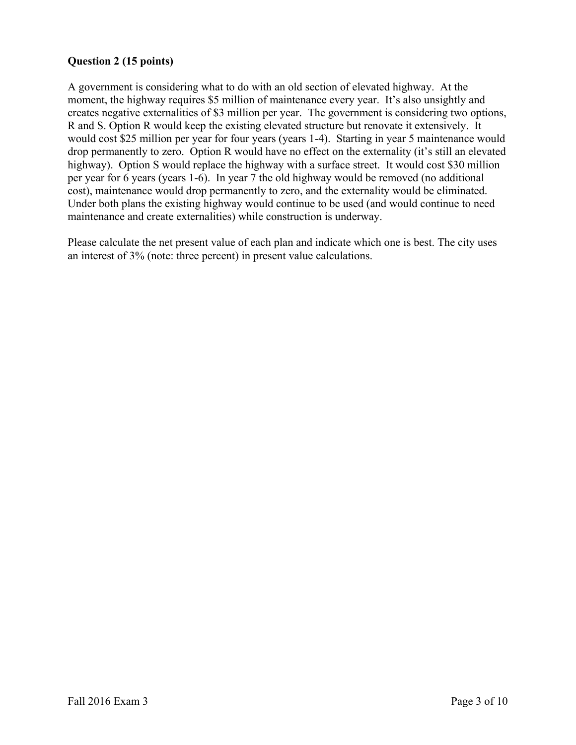# **Question 2 (15 points)**

A government is considering what to do with an old section of elevated highway. At the moment, the highway requires \$5 million of maintenance every year. It's also unsightly and creates negative externalities of \$3 million per year. The government is considering two options, R and S. Option R would keep the existing elevated structure but renovate it extensively. It would cost \$25 million per year for four years (years 1-4). Starting in year 5 maintenance would drop permanently to zero. Option R would have no effect on the externality (it's still an elevated highway). Option S would replace the highway with a surface street. It would cost \$30 million per year for 6 years (years 1-6). In year 7 the old highway would be removed (no additional cost), maintenance would drop permanently to zero, and the externality would be eliminated. Under both plans the existing highway would continue to be used (and would continue to need maintenance and create externalities) while construction is underway.

Please calculate the net present value of each plan and indicate which one is best. The city uses an interest of 3% (note: three percent) in present value calculations.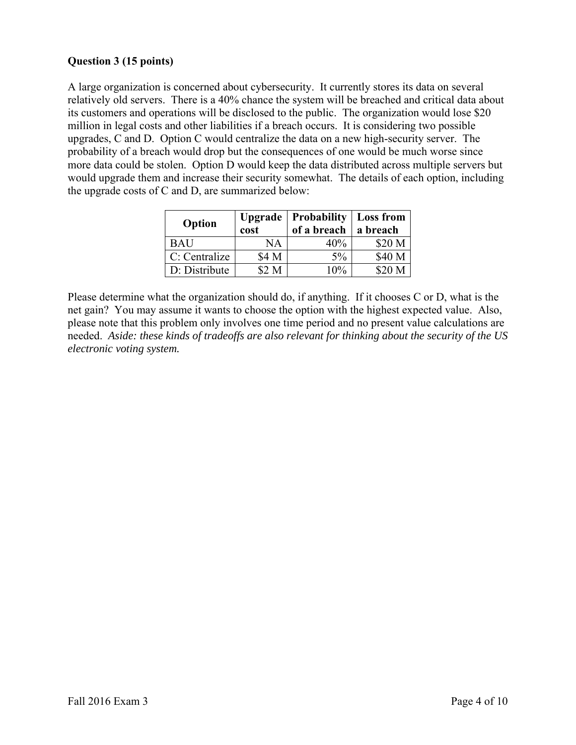# **Question 3 (15 points)**

A large organization is concerned about cybersecurity. It currently stores its data on several relatively old servers. There is a 40% chance the system will be breached and critical data about its customers and operations will be disclosed to the public. The organization would lose \$20 million in legal costs and other liabilities if a breach occurs. It is considering two possible upgrades, C and D. Option C would centralize the data on a new high-security server. The probability of a breach would drop but the consequences of one would be much worse since more data could be stolen. Option D would keep the data distributed across multiple servers but would upgrade them and increase their security somewhat. The details of each option, including the upgrade costs of C and D, are summarized below:

| Option        | cost  | Upgrade   Probability   Loss from<br>of a breach | a breach |
|---------------|-------|--------------------------------------------------|----------|
| <b>BAU</b>    | NΑ    | 40%                                              | \$20 M   |
| C: Centralize | \$4 M | $5\%$                                            | \$40 M   |
| D: Distribute | \$2 M | $10\%$                                           | \$20 M   |

Please determine what the organization should do, if anything. If it chooses C or D, what is the net gain? You may assume it wants to choose the option with the highest expected value. Also, please note that this problem only involves one time period and no present value calculations are needed. *Aside: these kinds of tradeoffs are also relevant for thinking about the security of the US electronic voting system.*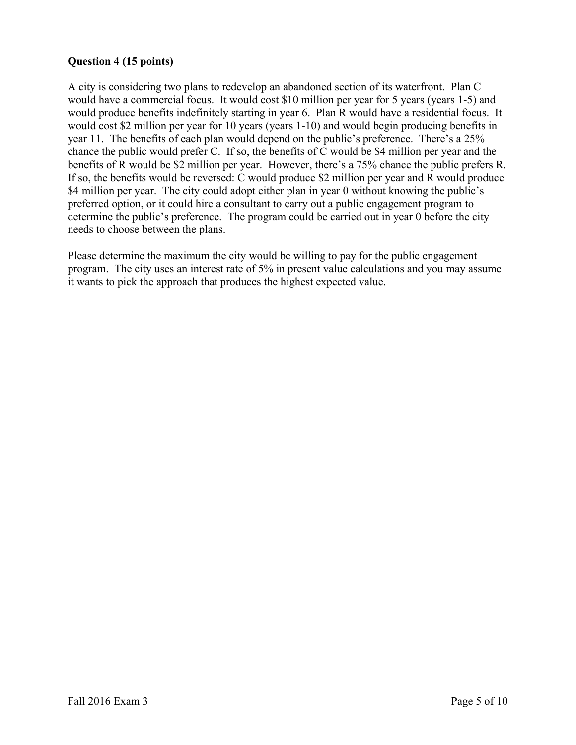# **Question 4 (15 points)**

A city is considering two plans to redevelop an abandoned section of its waterfront. Plan C would have a commercial focus. It would cost \$10 million per year for 5 years (years 1-5) and would produce benefits indefinitely starting in year 6. Plan R would have a residential focus. It would cost \$2 million per year for 10 years (years 1-10) and would begin producing benefits in year 11. The benefits of each plan would depend on the public's preference. There's a 25% chance the public would prefer C. If so, the benefits of C would be \$4 million per year and the benefits of R would be \$2 million per year. However, there's a 75% chance the public prefers R. If so, the benefits would be reversed: C would produce \$2 million per year and R would produce \$4 million per year. The city could adopt either plan in year 0 without knowing the public's preferred option, or it could hire a consultant to carry out a public engagement program to determine the public's preference. The program could be carried out in year 0 before the city needs to choose between the plans.

Please determine the maximum the city would be willing to pay for the public engagement program. The city uses an interest rate of 5% in present value calculations and you may assume it wants to pick the approach that produces the highest expected value.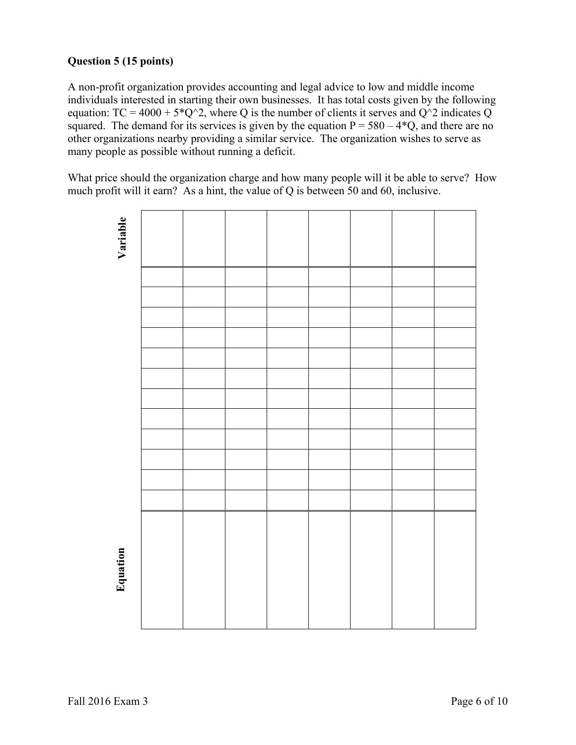# **Question 5 (15 points)**

A non-profit organization provides accounting and legal advice to low and middle income individuals interested in starting their own businesses. It has total costs given by the following equation:  $TC = 4000 + 5^{\circ}Q^2$ , where Q is the number of clients it serves and  $Q^2$  indicates Q squared. The demand for its services is given by the equation  $P = 580 - 4*Q$ , and there are no other organizations nearby providing a similar service. The organization wishes to serve as many people as possible without running a deficit.

What price should the organization charge and how many people will it be able to serve? How much profit will it earn? As a hint, the value of Q is between 50 and 60, inclusive.

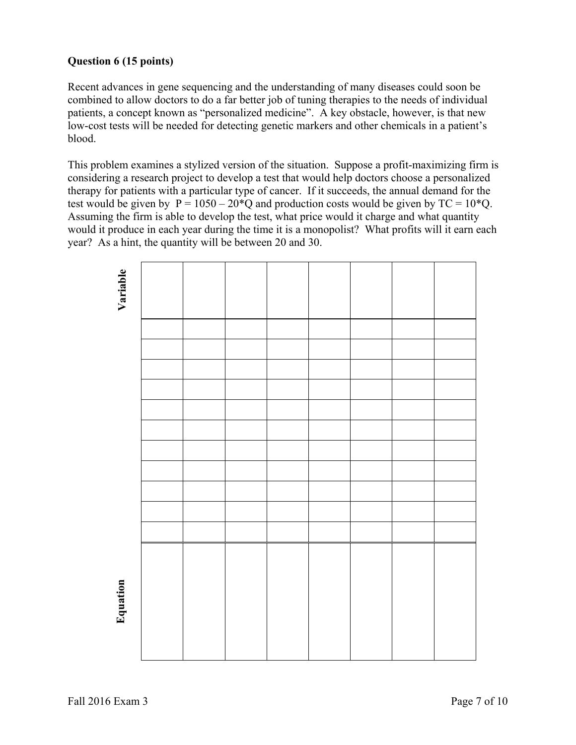# **Question 6 (15 points)**

Recent advances in gene sequencing and the understanding of many diseases could soon be combined to allow doctors to do a far better job of tuning therapies to the needs of individual patients, a concept known as "personalized medicine". A key obstacle, however, is that new low-cost tests will be needed for detecting genetic markers and other chemicals in a patient's blood.

This problem examines a stylized version of the situation. Suppose a profit-maximizing firm is considering a research project to develop a test that would help doctors choose a personalized therapy for patients with a particular type of cancer. If it succeeds, the annual demand for the test would be given by  $P = 1050 - 20^{*}Q$  and production costs would be given by  $TC = 10^{*}Q$ . Assuming the firm is able to develop the test, what price would it charge and what quantity would it produce in each year during the time it is a monopolist? What profits will it earn each year? As a hint, the quantity will be between 20 and 30.

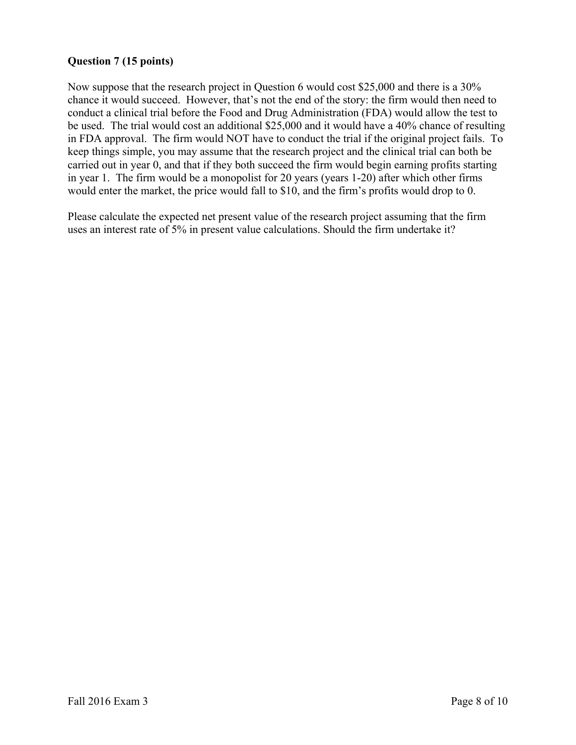# **Question 7 (15 points)**

Now suppose that the research project in Question 6 would cost \$25,000 and there is a 30% chance it would succeed. However, that's not the end of the story: the firm would then need to conduct a clinical trial before the Food and Drug Administration (FDA) would allow the test to be used. The trial would cost an additional \$25,000 and it would have a 40% chance of resulting in FDA approval. The firm would NOT have to conduct the trial if the original project fails. To keep things simple, you may assume that the research project and the clinical trial can both be carried out in year 0, and that if they both succeed the firm would begin earning profits starting in year 1. The firm would be a monopolist for 20 years (years 1-20) after which other firms would enter the market, the price would fall to \$10, and the firm's profits would drop to 0.

Please calculate the expected net present value of the research project assuming that the firm uses an interest rate of 5% in present value calculations. Should the firm undertake it?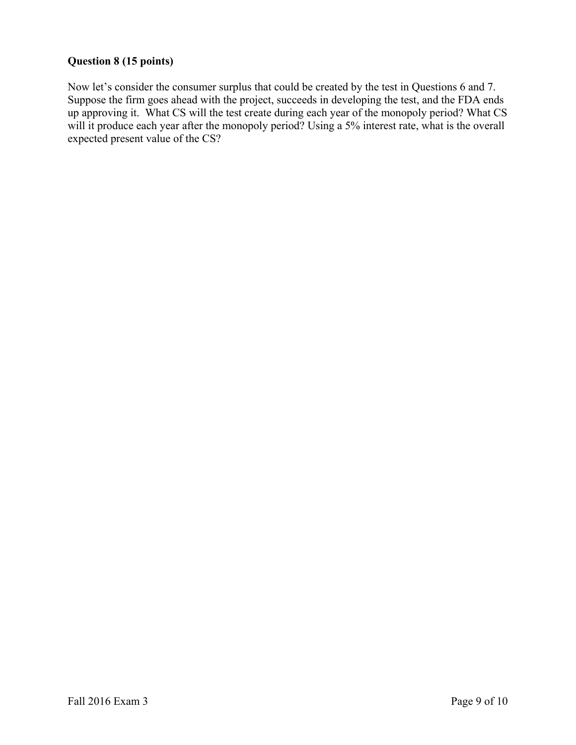# **Question 8 (15 points)**

Now let's consider the consumer surplus that could be created by the test in Questions 6 and 7. Suppose the firm goes ahead with the project, succeeds in developing the test, and the FDA ends up approving it. What CS will the test create during each year of the monopoly period? What CS will it produce each year after the monopoly period? Using a 5% interest rate, what is the overall expected present value of the CS?